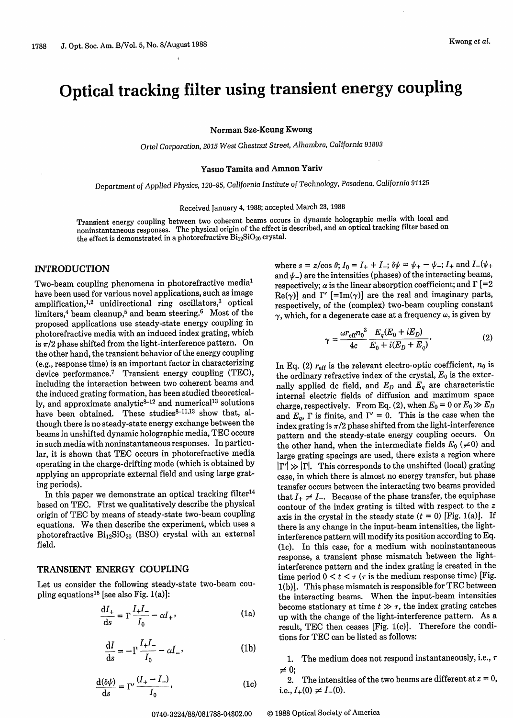# Optical tracking filter using transient energy coupling

**Norman Sze-Keung Kwong**

*Ortel Corporation, 2015 West Chestnut Street, Alhambra, California 91803*

# **Yasuo Tamita and Amnon Yariv**

*Department of Applied Physics, 128-95,* California Institute of *Technology, Pasadena, California 91125*

#### Received January 4, 1988; accepted March 23, 1988

Transient energy coupling between two coherent beams occurs in dynamic holographic media with local and noninstantaneous responses. The physical origin of the effect is described, and an optical tracking filter based on the effect is demonstrated in a photorefractive  $Bi_{12}SiO_{20}$  crystal.

# **INTRODUCTION**

Two-beam coupling phenomena in photorefractive media' have been used for various novel applications, such as image amplification,<sup>1,2</sup> unidirectional ring oscillators,<sup>3</sup> optical limiters,<sup>4</sup> beam cleanup,<sup>5</sup> and beam steering.<sup>6</sup> Most of the proposed applications use steady-state energy coupling in photorefractive media with an induced index grating, which is  $\pi/2$  phase shifted from the light-interference pattern. On the other hand, the transient behavior of the energy coupling (e.g., response time) is an important factor in characterizing device performance.<sup>7</sup> Transient energy coupling (TEC), including the interaction between two coherent beams and the induced grating formation, has been studied theoretically, and approximate analytic $8-12$  and numerical<sup>13</sup> solutions have been obtained. These studies<sup>8-11,13</sup> show that, although there is no steady-state energy exchange between the beams in unshifted dynamic holographic media, TEC occurs in such media with noninstantaneous responses. In particular, it is shown that TEC occurs in photorefractive media operating in the charge-drifting mode (which is obtained by applying an appropriate external field and using large grating periods).

In this paper we demonstrate an optical tracking filter<sup>14</sup> based on TEC. First we qualitatively describe the physical origin of TEC by means of steady-state two-beam coupling equations. We then describe the experiment, which uses a photorefractive  $Bi_{12}SiO_{20}$  (BSO) crystal with an external field.

# **TRANSIENT** ENERGY **COUPLING**

Let us consider the following steady-state two-beam coupling equations15 [see also Fig. 1(a)]:

$$
\frac{\mathrm{d}I_+}{\mathrm{d}s} = \Gamma \frac{I_+ I_-}{I_0} - \alpha I_+, \tag{1a}
$$

$$
\frac{\mathrm{d}I}{\mathrm{d}s} = -\Gamma \frac{I_+ I_-}{I_0} - \alpha I_-,\tag{1b}
$$

$$
\frac{d(\delta\psi)}{ds} = \Gamma' \frac{(I_+ - I_-)}{I_0},
$$
 (1c)

where  $s = z/\cos \theta$ ;  $I_0 = I_+ + I_-$ ;  $\delta \psi = \psi_+ - \psi_-$ ;  $I_+$  and  $I_-(\psi_+$ and  $\psi$ <sub>-</sub>) are the intensities (phases) of the interacting beams, respectively;  $\alpha$  is the linear absorption coefficient; and  $\Gamma$  [=2  $\text{Re}(\gamma)$ ] and  $\Gamma'$  [=Im( $\gamma$ )] are the real and imaginary parts, respectively, of the (complex) two-beam coupling constant  $\gamma$ , which, for a degenerate case at a frequency  $\omega$ , is given by

$$
\gamma = \frac{\omega r_{\text{eff}} n_0^3}{4c} \frac{E_q (E_0 + iE_D)}{E_0 + i(E_D + E_q)}.
$$
(2)

In Eq. (2)  $r_{\text{eff}}$  is the relevant electro-optic coefficient,  $n_0$  is the ordinary refractive index of the crystal, *Eo* is the externally applied dc field, and  $E_D$  and  $E_q$  are characteristic internal electric fields of diffusion and maximum space charge, respectively. From Eq. (2), when  $E_0 = 0$  or  $E_0 \gg E_D$ and  $E_q$ ,  $\Gamma$  is finite, and  $\Gamma' = 0$ . This is the case when the index grating is  $\pi/2$  phase shifted from the light-interference pattern and the steady-state energy coupling occurs. On the other hand, when the intermediate fields  $E_0$  ( $\neq$ 0) and large grating spacings are used, there exists a region where **Irl >> Irl.** This corresponds to the unshifted (local) grating case, in which there is almost no energy transfer, but phase transfer occurs between the interacting two beams provided that  $I_+ \neq I_-$ . Because of the phase transfer, the equiphase contour of the index grating is tilted with respect to the z axis in the crystal in the steady state  $(t = 0)$  [Fig. 1(a)]. If there is any change in the input-beam intensities, the lightinterference pattern will modify its position according to Eq. (1c). In this case, for a medium with noninstantaneous response, a transient phase mismatch between the lightinterference pattern and the index grating is created in the time period  $0 < t < \tau$  ( $\tau$  is the medium response time) [Fig. 1(b)]. This phase mismatch is responsible for TEC between the interacting beams. When the input-beam intensities become stationary at time  $t \gg \tau$ , the index grating catches up with the change of the light-interference pattern. As a result, TEC then ceases [Fig. 1(c)]. Therefore the conditions for TEC can be listed as follows:

1. The medium does not respond instantaneously, i.e., *r*  $\neq 0;$ 

2. The intensities of the two beams are different at  $z = 0$ , i.e.,  $I_+(0) \neq I_-(0)$ .

0740-3224/88/081788-04\$02.00 © 1988 Optical Society of America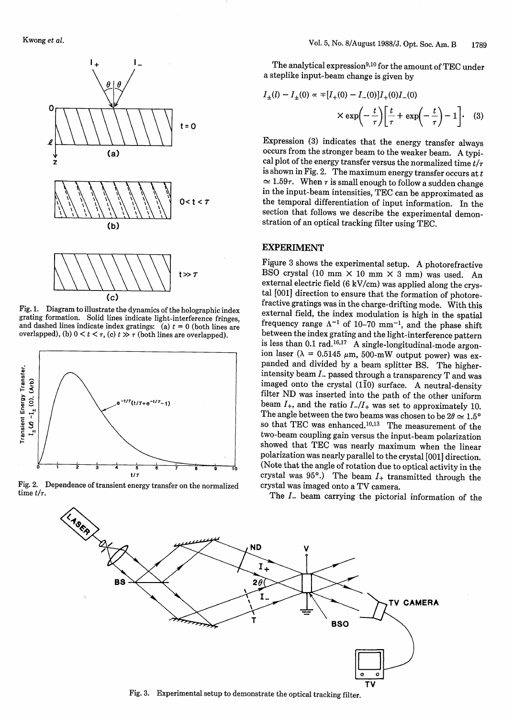

(c)

Fig. 1. Diagram to illustrate the dynamics of the holographic index and dashed lines indicate index gratings: (a)  $t = 0$  (both lines are overlapped), (b)  $0 \lt t \lt \tau$ , (c)  $t \gt \tau$  (both lines are overlapped).



Fig. 2. Dependence of transient energy transfer on the normalized time  $t/\tau$ .

The analytical expression<sup>9,10</sup> for the amount of TEC under<br>a steplike input-beam change is given by

$$
I_{\pm}(l) - I_{\pm}(0) \propto \mp [I_{+}(0) - I_{-}(0)]I_{+}(0)I_{-}(0)
$$

$$
\times \exp\left(-\frac{t}{\tau}\right) \left[\frac{t}{\tau} + \exp\left(-\frac{t}{\tau}\right) - 1\right]. \quad (3)
$$

Expression (3) indicates that the energy transfer always cal plot of the energy transfer versus the normalized time  $t/\tau$ is shown in Fig. 2. The maximum energy transfer occurs at  $t$  $\approx$  1.59 $\tau$ . When  $\tau$  is small enough to follow a sudden change in the input-beam intensities, TEC can be approximated as the temporal differentiation of input information. In the section that follows we describe the experimental demonstration of an optical tracking filter using TEC.

## EXPERIMENT

Figure 3 shows the experimental setup. A photorefractive BSO crystal (10 mm  $\times$  10 mm  $\times$  3 mm) was used. An external electric field (6 kV/cm) was applied along the crystal [001] direction to ensure that the formation of photore-<br>fractive gratings was in the charge-drifting mode. With this<br>external field, the index modulation is high in the spatial frequency range  $\Lambda^{-1}$  of 10-70 mm<sup>-1</sup>, and the phase shift between the index grating and the light-interference pattern is less than 0.1 rad.<sup>16,17</sup> A single-longitudinal-mode argonion laser ( $\lambda = 0.5145 \mu m$ , 500-mW output power) was expanded and divided by a beam splitter BS. The higherintensity beam  $I$ - passed through a transparency T and was imaged onto the crystal (110) surface. A neutral-density filter ND was inserted into the path of the other uniform beam  $I_{+}$ , and the ratio  $I_{-}/I_{+}$  was set to approximately 10. The angle between the two beams was chosen to be  $2\theta \simeq 1.5^{\circ}$ so that TEC was enhanced.<sup>10,13</sup> The measurement of the two-beam coupling gain versus the input-beam polarization showed that TEC was nearly maximum when the linear polarization was nearly parallel to the crystal [001] direction. (Note that the angle of rotation due to optical activity in the crystal was  $95^{\circ}$ .) The beam  $I_{+}$  transmitted through the crystal was imaged onto a TV camera.

The  $I$ - beam carrying the pictorial information of the



Fig. 3. Experimental setup to demonstrate the optical tracking filter.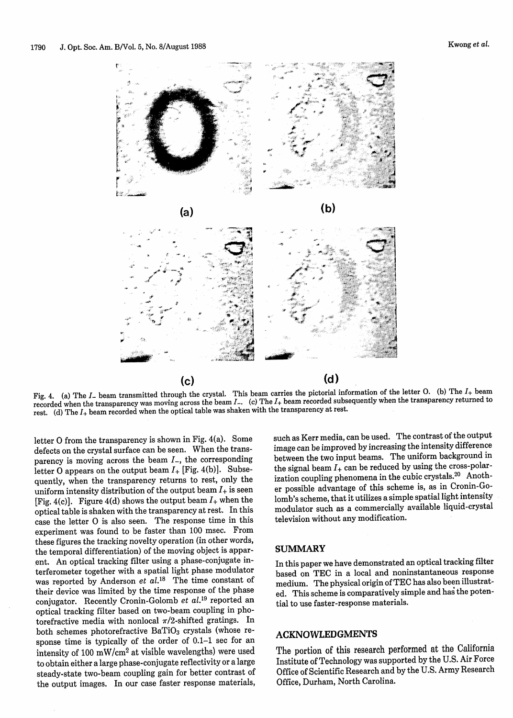

Fig. 4. (a) The I<sub>-</sub> beam transmitted through the crystal. This beam carries the pictorial information of the letter O. (b) The I<sub>+</sub> beam  $\frac{1}{2}$  beam second a ubsequently when the transparency returned to recorded when the transparency was moving across the beam *I.* (c) The I+ beam recorded subsequently when the transparency returned to rest. (d) The  $I_+$  beam recorded when the optical table was shaken with the transparency at rest.

letter 0 from the transparency is shown in Fig. 4(a). Some defects on the crystal surface can be seen. When the transparency is moving across the beam  $I_-,$  the corresponding letter O appears on the output beam  $I_{+}$  [Fig. 4(b)]. Subsequently, when the transparency returns to rest, only the uniform intensity distribution of the output beam  $I_+$  is seen [Fig. 4(c)]. Figure 4(d) shows the output beam  $I_+$  when the optical table is shaken with the transparency at rest. In this case the letter 0 is also seen. The response time in this experiment was found to be faster than 100 msec. From these figures the tracking novelty operation (in other words, the temporal differentiation) of the moving object is apparent. An optical tracking filter using a phase-conjugate interferometer together with a spatial light phase modulator was reported by Anderson *et al.18* The time constant of their device was limited by the time response of the phase conjugator. Recently Cronin-Golomb *et al.19* reported an optical tracking filter based on two-beam coupling in photorefractive media with nonlocal  $\pi/2$ -shifted gratings. In both schemes photorefractive  $BaTiO<sub>3</sub>$  crystals (whose response time is typically of the order of 0.1-1 sec for an intensity of 100 mW/cm<sup>2</sup> at visible wavelengths) were used to obtain either a large phase-conjugate reflectivity or a large steady-state two-beam coupling gain for better contrast of the output images. In our case faster response materials,

such as Kerr media, can be used. The contrast of the output image can be improved by increasing the intensity difference between the two input beams. The uniform background in the signal beam  $I_+$  can be reduced by using the cross-polarization coupling phenomena in the cubic crystals.<sup>20</sup> Another possible advantage of this scheme is, as in Cronin-Golomb's scheme, that it utilizes a simple spatial light intensity modulator such as a commercially available liquid-crystal television without any modification.

4, --

#### SUMMARY

In this paper we have demonstrated an optical tracking filter based on TEC in a local and noninstantaneous response medium. The physical origin of TEC has also been illustrated. This scheme is comparatively simple and hag the potential to use faster-response materials.

### ACKNOWLEDGMENTS

The portion of this research performed at the California Institute of Technology was supported by the U.S. Air Force Office of Scientific Research and by the U.S. Army Research Office, Durham, North Carolina.